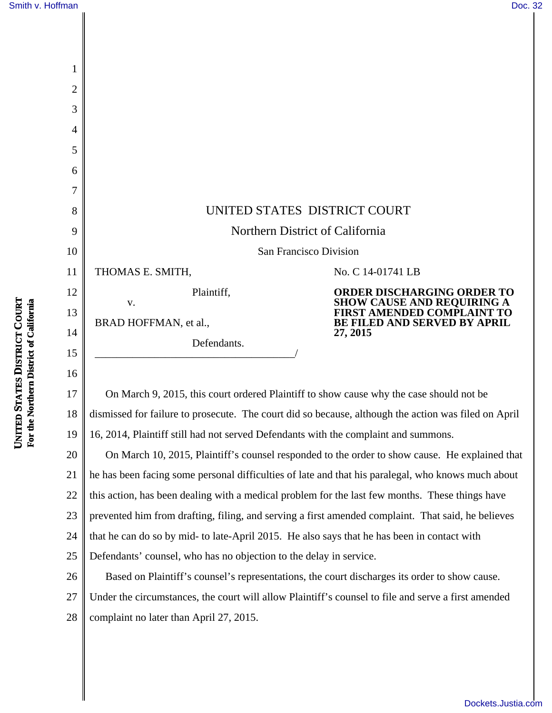$\mathbf l$ 

| 1              |                                                                                         |                                                                                                         |
|----------------|-----------------------------------------------------------------------------------------|---------------------------------------------------------------------------------------------------------|
| $\overline{2}$ |                                                                                         |                                                                                                         |
| 3              |                                                                                         |                                                                                                         |
| 4              |                                                                                         |                                                                                                         |
| 5              |                                                                                         |                                                                                                         |
| 6              |                                                                                         |                                                                                                         |
| 7              |                                                                                         |                                                                                                         |
| 8              | UNITED STATES DISTRICT COURT                                                            |                                                                                                         |
| 9              | Northern District of California                                                         |                                                                                                         |
| 10             | San Francisco Division                                                                  |                                                                                                         |
| 11             | THOMAS E. SMITH,                                                                        | No. C 14-01741 LB                                                                                       |
| 12             | Plaintiff,<br>$V_{\bullet}$                                                             | ORDER DISCHARGING ORDER TO                                                                              |
| 13             | BRAD HOFFMAN, et al.,                                                                   | <b>SHOW CAUSE AND REQUIRING A<br/>FIRST AMENDED COMPLAINT TO</b><br><b>BE FILED AND SERVED BY APRIL</b> |
| 14             | Defendants.                                                                             | 27, 2015                                                                                                |
| 15             |                                                                                         |                                                                                                         |
| 16             |                                                                                         |                                                                                                         |
| 17             | On March 9, 2015, this court ordered Plaintiff to show cause why the case should not be |                                                                                                         |

18 19 dismissed for failure to prosecute. The court did so because, although the action was filed on April 16, 2014, Plaintiff still had not served Defendants with the complaint and summons.

20 21 22 23 24 25 On March 10, 2015, Plaintiff's counsel responded to the order to show cause. He explained that he has been facing some personal difficulties of late and that his paralegal, who knows much about this action, has been dealing with a medical problem for the last few months. These things have prevented him from drafting, filing, and serving a first amended complaint. That said, he believes that he can do so by mid- to late-April 2015. He also says that he has been in contact with Defendants' counsel, who has no objection to the delay in service.

26 27 28 Based on Plaintiff's counsel's representations, the court discharges its order to show cause. Under the circumstances, the court will allow Plaintiff's counsel to file and serve a first amended complaint no later than April 27, 2015.